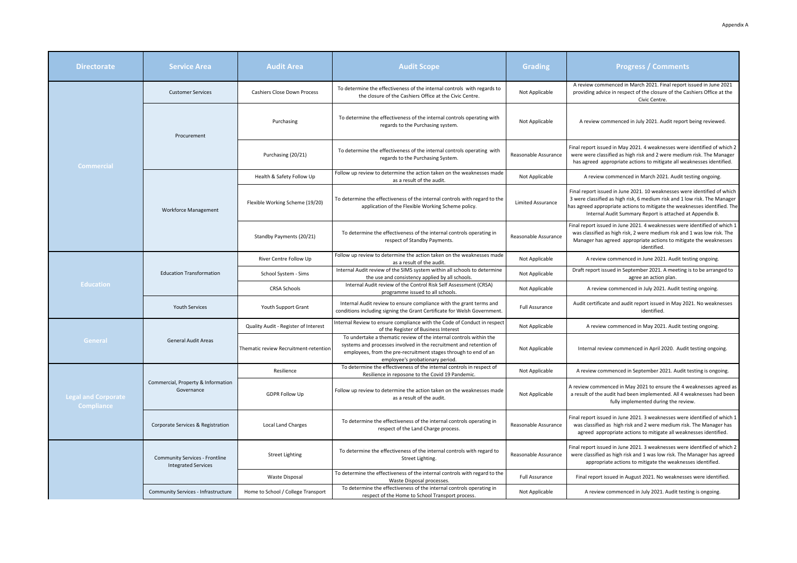| <b>Directorate</b>                              | <b>Service Area</b>                                                 | <b>Audit Area</b>                     | <b>Audit Scope</b>                                                                                                                                                                                                                             | Grading                  | <b>Progress / Comments</b>                                                                                                                                                                                                                                                                     |
|-------------------------------------------------|---------------------------------------------------------------------|---------------------------------------|------------------------------------------------------------------------------------------------------------------------------------------------------------------------------------------------------------------------------------------------|--------------------------|------------------------------------------------------------------------------------------------------------------------------------------------------------------------------------------------------------------------------------------------------------------------------------------------|
| <b>Commercial</b>                               | <b>Customer Services</b>                                            | <b>Cashiers Close Down Process</b>    | To determine the effectiveness of the internal controls with regards to<br>the closure of the Cashiers Office at the Civic Centre.                                                                                                             | Not Applicable           | A review commenced in March 2021. Final report issued in June 2021<br>providing advice in respect of the closure of the Cashiers Office at the<br>Civic Centre.                                                                                                                                |
|                                                 | Procurement                                                         | Purchasing                            | To determine the effectiveness of the internal controls operating with<br>regards to the Purchasing system.                                                                                                                                    | Not Applicable           | A review commenced in July 2021. Audit report being reviewed.                                                                                                                                                                                                                                  |
|                                                 |                                                                     | Purchasing (20/21)                    | To determine the effectiveness of the internal controls operating with<br>regards to the Purchasing System.                                                                                                                                    | Reasonable Assurance     | Final report issued in May 2021. 4 weaknesses were identified of which 2<br>were were classified as high risk and 2 were medium risk. The Manager<br>has agreed appropriate actions to mitigate all weaknesses identified.                                                                     |
|                                                 | <b>Workforce Management</b>                                         | Health & Safety Follow Up             | Follow up review to determine the action taken on the weaknesses made<br>as a result of the audit                                                                                                                                              | Not Applicable           | A review commenced in March 2021. Audit testing ongoing.                                                                                                                                                                                                                                       |
|                                                 |                                                                     | Flexible Working Scheme (19/20)       | To determine the effectiveness of the internal controls with regard to the<br>application of the Flexible Working Scheme policy.                                                                                                               | <b>Limited Assurance</b> | Final report issued in June 2021. 10 weaknesses were identified of which<br>3 were classified as high risk, 6 medium risk and 1 low risk. The Manager<br>has agreed appropriate actions to mitigate the weaknesses identified. The<br>Internal Audit Summary Report is attached at Appendix B. |
|                                                 |                                                                     | Standby Payments (20/21)              | To determine the effectiveness of the internal controls operating in<br>respect of Standby Payments.                                                                                                                                           | Reasonable Assurance     | Final report issued in June 2021. 4 weaknesses were identified of which 1<br>was classified as high risk, 2 were medium risk and 1 was low risk. The<br>Manager has agreed appropriate actions to mitigate the weaknesses<br>identified.                                                       |
| <b>Education</b>                                | <b>Education Transformation</b>                                     | River Centre Follow Up                | Follow up review to determine the action taken on the weaknesses made<br>as a result of the audit.                                                                                                                                             | Not Applicable           | A review commenced in June 2021. Audit testing ongoing.                                                                                                                                                                                                                                        |
|                                                 |                                                                     | School System - Sims                  | Internal Audit review of the SIMS system within all schools to determine<br>the use and consistency applied by all schools.                                                                                                                    | Not Applicable           | Draft report issued in September 2021. A meeting is to be arranged to<br>agree an action plan.                                                                                                                                                                                                 |
|                                                 |                                                                     | <b>CRSA Schools</b>                   | Internal Audit review of the Control Risk Self Assessment (CRSA)<br>programme issued to all schools                                                                                                                                            | Not Applicable           | A review commenced in July 2021. Audit testing ongoing.                                                                                                                                                                                                                                        |
|                                                 | <b>Youth Services</b>                                               | Youth Support Grant                   | Internal Audit review to ensure compliance with the grant terms and<br>conditions including signing the Grant Certificate for Welsh Government                                                                                                 | <b>Full Assurance</b>    | Audit certificate and audit report issued in May 2021. No weaknesses<br>identified.                                                                                                                                                                                                            |
| General                                         | <b>General Audit Areas</b>                                          | Quality Audit - Register of Interest  | Internal Review to ensure compliance with the Code of Conduct in respect<br>of the Register of Business Interest                                                                                                                               | Not Applicable           | A review commenced in May 2021. Audit testing ongoing.                                                                                                                                                                                                                                         |
|                                                 |                                                                     | Thematic review Recruitment-retention | To undertake a thematic review of the internal controls within the<br>systems and processes involved in the recruitment and retention of<br>employees, from the pre-recruitment stages through to end of an<br>employee's probationary period. | Not Applicable           | Internal review commenced in April 2020. Audit testing ongoing.                                                                                                                                                                                                                                |
| <b>Legal and Corporate</b><br><b>Compliance</b> | Commercial, Property & Information<br>Governance                    | Resilience                            | To determine the effectiveness of the internal controls in respect of<br>Resilience in reposone to the Covid 19 Pandemic.                                                                                                                      | Not Applicable           | A review commenced in September 2021. Audit testing is ongoing.                                                                                                                                                                                                                                |
|                                                 |                                                                     | <b>GDPR Follow Up</b>                 | Follow up review to determine the action taken on the weaknesses made<br>as a result of the audit.                                                                                                                                             | Not Applicable           | A review commenced in May 2021 to ensure the 4 weaknesses agreed as<br>a result of the audit had been implemented. All 4 weaknesses had been<br>fully implemented during the review.                                                                                                           |
|                                                 | Corporate Services & Registration                                   | <b>Local Land Charges</b>             | To determine the effectiveness of the internal controls operating in<br>respect of the Land Charge process.                                                                                                                                    | Reasonable Assurance     | Final report issued in June 2021. 3 weaknesses were identified of which 1<br>was classified as high risk and 2 were medium risk. The Manager has<br>agreed appropriate actions to mitigate all weaknesses identified.                                                                          |
|                                                 | <b>Community Services - Frontline</b><br><b>Integrated Services</b> | <b>Street Lighting</b>                | To determine the effectiveness of the internal controls with regard to<br>Street Lighting.                                                                                                                                                     | Reasonable Assurance     | Final report issued in June 2021. 3 weaknesses were identified of which 2<br>were classified as high risk and 1 was low risk. The Manager has agreed<br>appropriate actions to mitigate the weaknesses identified.                                                                             |
|                                                 |                                                                     | Waste Disposal                        | To determine the effectiveness of the internal controls with regard to the<br>Waste Disposal processes.                                                                                                                                        | Full Assurance           | Final report issued in August 2021. No weaknesses were identified                                                                                                                                                                                                                              |
|                                                 | Community Services - Infrastructure                                 | Home to School / College Transport    | To determine the effectiveness of the internal controls operating in<br>respect of the Home to School Transport process.                                                                                                                       | Not Applicable           | A review commenced in July 2021. Audit testing is ongoing.                                                                                                                                                                                                                                     |